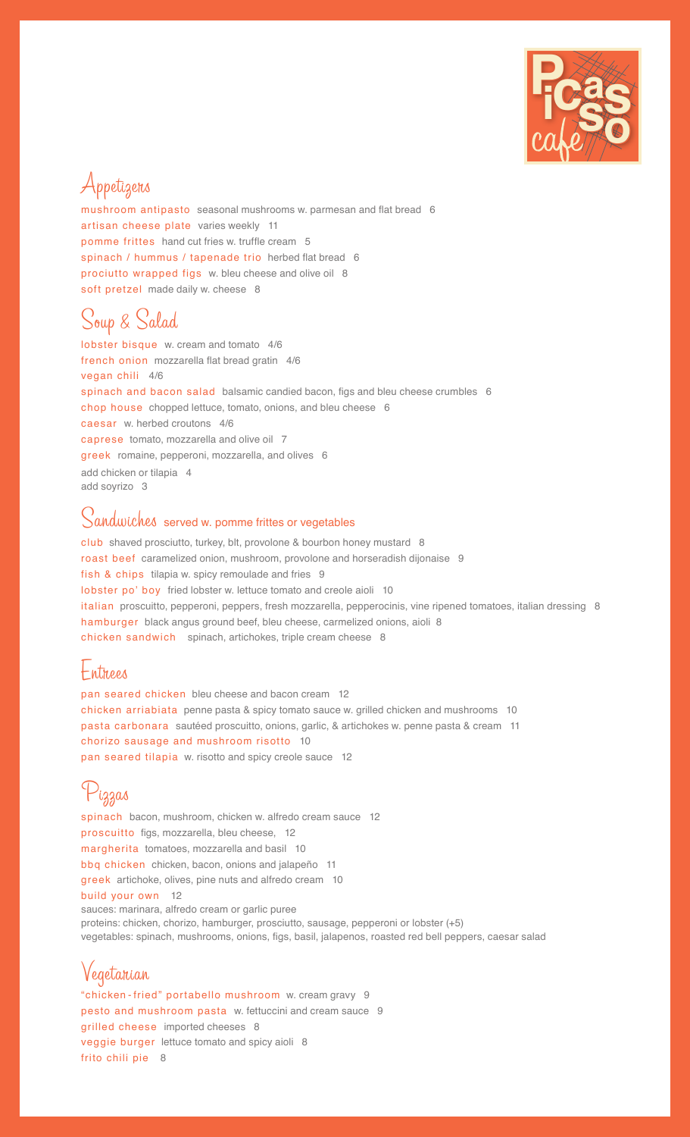

## Appetizers

mushroom antipasto seasonal mushrooms w. parmesan and flat bread 6 artisan cheese plate varies weekly 11 pomme frittes hand cut fries w. truffle cream 5 spinach / hummus / tapenade trio herbed flat bread 6 prociutto wrapped figs w. bleu cheese and olive oil 8 soft pretzel made daily w. cheese 8

## Soup & Salad

lobster bisque w. cream and tomato 4/6 french onion mozzarella flat bread gratin 4/6 vegan chili 4/6 spinach and bacon salad balsamic candied bacon, figs and bleu cheese crumbles 6 chop house chopped lettuce, tomato, onions, and bleu cheese 6 caesar w. herbed croutons 4/6 caprese tomato, mozzarella and olive oil 7 greek romaine, pepperoni, mozzarella, and olives 6 add chicken or tilapia 4 add soyrizo 3

#### Sandwiches served w. pomme frittes or vegetables

club shaved prosciutto, turkey, blt, provolone & bourbon honey mustard 8 roast beef caramelized onion, mushroom, provolone and horseradish dijonaise 9 fish & chips tilapia w. spicy remoulade and fries 9 lobster po' boy fried lobster w. lettuce tomato and creole aioli 10 italian proscuitto, pepperoni, peppers, fresh mozzarella, pepperocinis, vine ripened tomatoes, italian dressing 8 hamburger black angus ground beef, bleu cheese, carmelized onions, aioli 8 chicken sandwich spinach, artichokes, triple cream cheese 8

#### Entrees

pan seared chicken bleu cheese and bacon cream 12 chicken arriabiata penne pasta & spicy tomato sauce w. grilled chicken and mushrooms 10 pasta carbonara sautéed proscuitto, onions, garlic, & artichokes w. penne pasta & cream 11 chorizo sausage and mushroom risotto 10 pan seared tilapia w. risotto and spicy creole sauce 12

# Pizzas

spinach bacon, mushroom, chicken w. alfredo cream sauce 12 proscuitto figs, mozzarella, bleu cheese, 12 margherita tomatoes, mozzarella and basil 10 bbq chicken chicken, bacon, onions and jalapeño 11 greek artichoke, olives, pine nuts and alfredo cream 10 build your own 12 sauces: marinara, alfredo cream or garlic puree proteins: chicken, chorizo, hamburger, prosciutto, sausage, pepperoni or lobster (+5) vegetables: spinach, mushrooms, onions, figs, basil, jalapenos, roasted red bell peppers, caesar salad

### Vegetarian

"chicken -fried" portabello mushroom w. cream gravy 9 pesto and mushroom pasta w. fettuccini and cream sauce 9 grilled cheese imported cheeses 8 veggie burger lettuce tomato and spicy aioli 8 frito chili pie 8